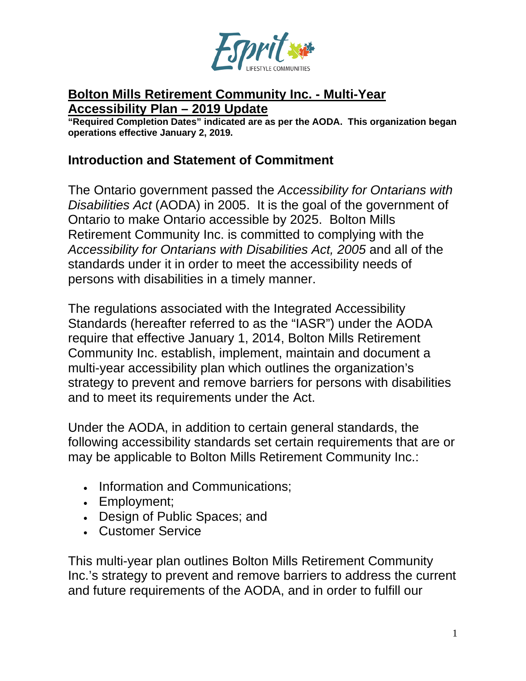

#### **Bolton Mills Retirement Community Inc. - Multi-Year Accessibility Plan – 2019 Update**

**"Required Completion Dates" indicated are as per the AODA. This organization began operations effective January 2, 2019.**

### **Introduction and Statement of Commitment**

The Ontario government passed the *Accessibility for Ontarians with Disabilities Act* (AODA) in 2005. It is the goal of the government of Ontario to make Ontario accessible by 2025. Bolton Mills Retirement Community Inc. is committed to complying with the *Accessibility for Ontarians with Disabilities Act, 2005* and all of the standards under it in order to meet the accessibility needs of persons with disabilities in a timely manner.

The regulations associated with the Integrated Accessibility Standards (hereafter referred to as the "IASR") under the AODA require that effective January 1, 2014, Bolton Mills Retirement Community Inc. establish, implement, maintain and document a multi-year accessibility plan which outlines the organization's strategy to prevent and remove barriers for persons with disabilities and to meet its requirements under the Act.

Under the AODA, in addition to certain general standards, the following accessibility standards set certain requirements that are or may be applicable to Bolton Mills Retirement Community Inc.:

- Information and Communications;
- Employment;
- Design of Public Spaces; and
- Customer Service

This multi-year plan outlines Bolton Mills Retirement Community Inc.'s strategy to prevent and remove barriers to address the current and future requirements of the AODA, and in order to fulfill our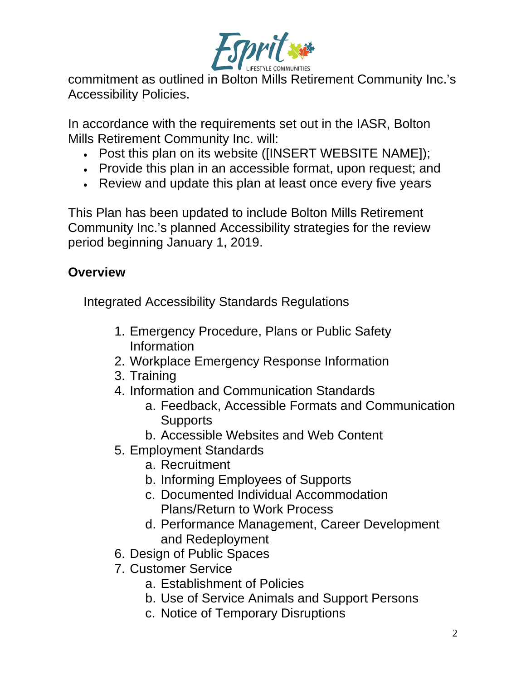

commitment as outlined in Bolton Mills Retirement Community Inc.'s Accessibility Policies.

In accordance with the requirements set out in the IASR, Bolton Mills Retirement Community Inc. will:

- Post this plan on its website ([INSERT WEBSITE NAME]);
- Provide this plan in an accessible format, upon request; and
- Review and update this plan at least once every five years

This Plan has been updated to include Bolton Mills Retirement Community Inc.'s planned Accessibility strategies for the review period beginning January 1, 2019.

## **Overview**

Integrated Accessibility Standards Regulations

- 1. Emergency Procedure, Plans or Public Safety Information
- 2. Workplace Emergency Response Information
- 3. Training
- 4. Information and Communication Standards
	- a. Feedback, Accessible Formats and Communication **Supports**
	- b. Accessible Websites and Web Content
- 5. Employment Standards
	- a. Recruitment
	- b. Informing Employees of Supports
	- c. Documented Individual Accommodation Plans/Return to Work Process
	- d. Performance Management, Career Development and Redeployment
- 6. Design of Public Spaces
- 7. Customer Service
	- a. Establishment of Policies
	- b. Use of Service Animals and Support Persons
	- c. Notice of Temporary Disruptions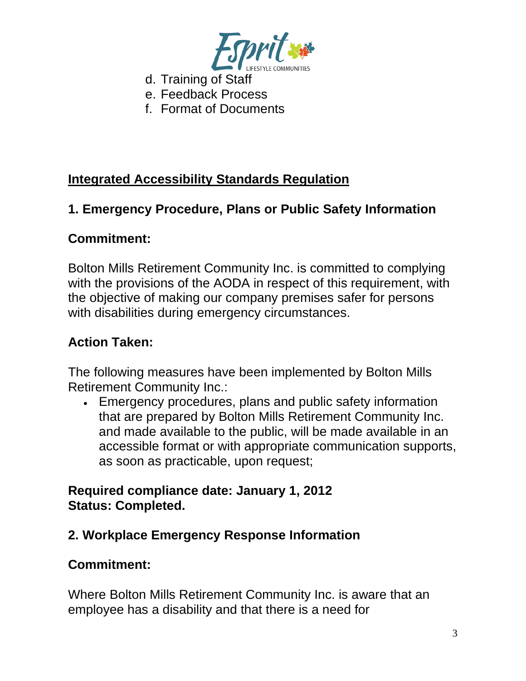

- d. Training of Staff
- e. Feedback Process
- f. Format of Documents

## **Integrated Accessibility Standards Regulation**

## **1. Emergency Procedure, Plans or Public Safety Information**

## **Commitment:**

Bolton Mills Retirement Community Inc. is committed to complying with the provisions of the AODA in respect of this requirement, with the objective of making our company premises safer for persons with disabilities during emergency circumstances.

### **Action Taken:**

The following measures have been implemented by Bolton Mills Retirement Community Inc.:

• Emergency procedures, plans and public safety information that are prepared by Bolton Mills Retirement Community Inc. and made available to the public, will be made available in an accessible format or with appropriate communication supports, as soon as practicable, upon request;

### **Required compliance date: January 1, 2012 Status: Completed.**

## **2. Workplace Emergency Response Information**

## **Commitment:**

Where Bolton Mills Retirement Community Inc. is aware that an employee has a disability and that there is a need for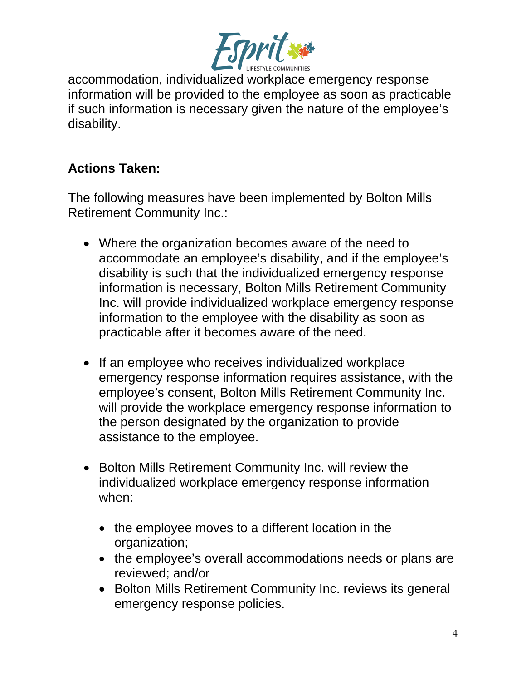

accommodation, individualized workplace emergency response information will be provided to the employee as soon as practicable if such information is necessary given the nature of the employee's disability.

## **Actions Taken:**

The following measures have been implemented by Bolton Mills Retirement Community Inc.:

- Where the organization becomes aware of the need to accommodate an employee's disability, and if the employee's disability is such that the individualized emergency response information is necessary, Bolton Mills Retirement Community Inc. will provide individualized workplace emergency response information to the employee with the disability as soon as practicable after it becomes aware of the need.
- If an employee who receives individualized workplace emergency response information requires assistance, with the employee's consent, Bolton Mills Retirement Community Inc. will provide the workplace emergency response information to the person designated by the organization to provide assistance to the employee.
- Bolton Mills Retirement Community Inc. will review the individualized workplace emergency response information when:
	- the employee moves to a different location in the organization;
	- the employee's overall accommodations needs or plans are reviewed; and/or
	- Bolton Mills Retirement Community Inc. reviews its general emergency response policies.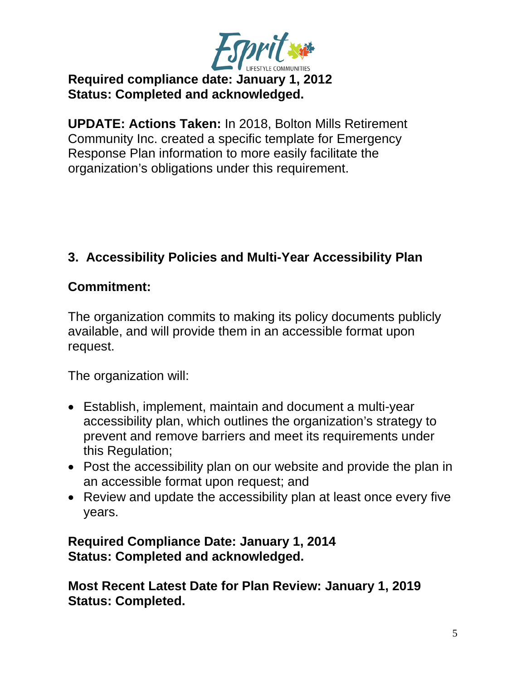

## **Required compliance date: January 1, 2012 Status: Completed and acknowledged.**

**UPDATE: Actions Taken:** In 2018, Bolton Mills Retirement Community Inc. created a specific template for Emergency Response Plan information to more easily facilitate the organization's obligations under this requirement.

## **3. Accessibility Policies and Multi-Year Accessibility Plan**

### **Commitment:**

The organization commits to making its policy documents publicly available, and will provide them in an accessible format upon request.

The organization will:

- Establish, implement, maintain and document a multi-year accessibility plan, which outlines the organization's strategy to prevent and remove barriers and meet its requirements under this Regulation;
- Post the accessibility plan on our website and provide the plan in an accessible format upon request; and
- Review and update the accessibility plan at least once every five years.

### **Required Compliance Date: January 1, 2014 Status: Completed and acknowledged.**

**Most Recent Latest Date for Plan Review: January 1, 2019 Status: Completed.**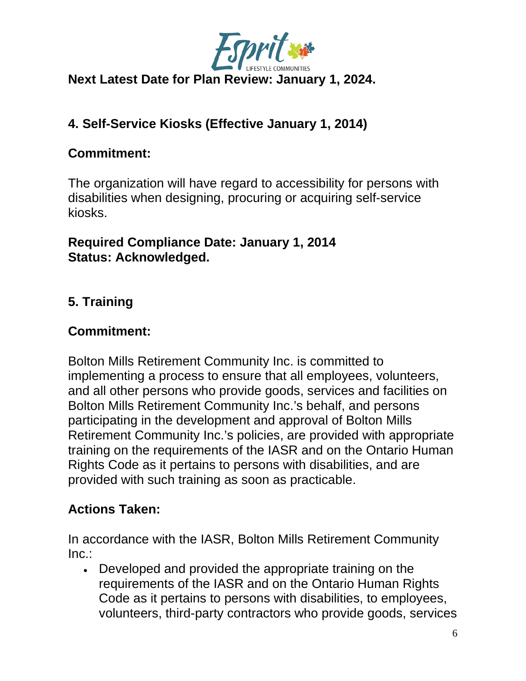

## **Next Latest Date for Plan Review: January 1, 2024.**

# **4. Self-Service Kiosks (Effective January 1, 2014)**

## **Commitment:**

The organization will have regard to accessibility for persons with disabilities when designing, procuring or acquiring self-service kiosks.

### **Required Compliance Date: January 1, 2014 Status: Acknowledged.**

## **5. Training**

### **Commitment:**

Bolton Mills Retirement Community Inc. is committed to implementing a process to ensure that all employees, volunteers, and all other persons who provide goods, services and facilities on Bolton Mills Retirement Community Inc.'s behalf, and persons participating in the development and approval of Bolton Mills Retirement Community Inc.'s policies, are provided with appropriate training on the requirements of the IASR and on the Ontario Human Rights Code as it pertains to persons with disabilities, and are provided with such training as soon as practicable.

## **Actions Taken:**

In accordance with the IASR, Bolton Mills Retirement Community Inc.:

• Developed and provided the appropriate training on the requirements of the IASR and on the Ontario Human Rights Code as it pertains to persons with disabilities, to employees, volunteers, third-party contractors who provide goods, services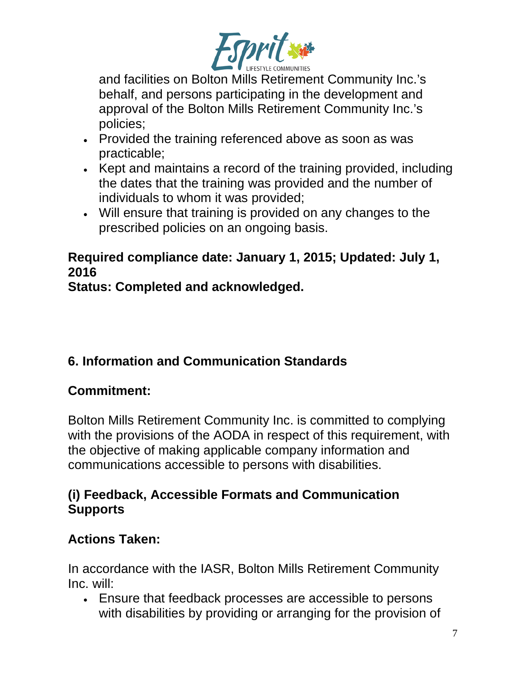

and facilities on Bolton Mills Retirement Community Inc.'s behalf, and persons participating in the development and approval of the Bolton Mills Retirement Community Inc.'s policies;

- Provided the training referenced above as soon as was practicable;
- Kept and maintains a record of the training provided, including the dates that the training was provided and the number of individuals to whom it was provided;
- Will ensure that training is provided on any changes to the prescribed policies on an ongoing basis.

## **Required compliance date: January 1, 2015; Updated: July 1, 2016**

**Status: Completed and acknowledged.**

# **6. Information and Communication Standards**

# **Commitment:**

Bolton Mills Retirement Community Inc. is committed to complying with the provisions of the AODA in respect of this requirement, with the objective of making applicable company information and communications accessible to persons with disabilities.

## **(i) Feedback, Accessible Formats and Communication Supports**

## **Actions Taken:**

In accordance with the IASR, Bolton Mills Retirement Community Inc. will:

• Ensure that feedback processes are accessible to persons with disabilities by providing or arranging for the provision of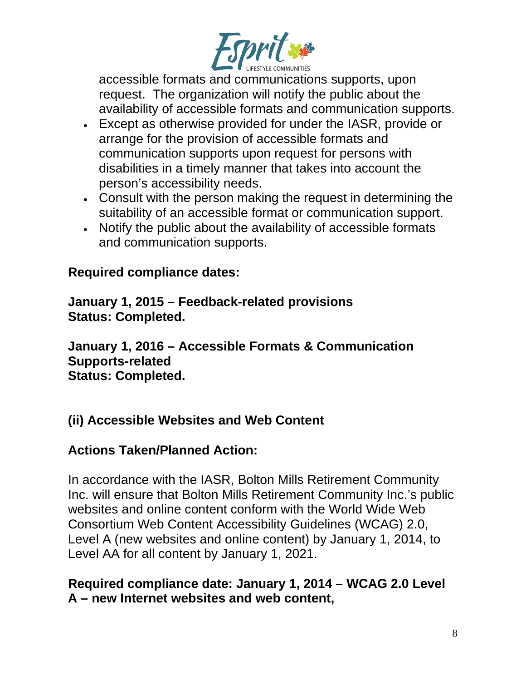

accessible formats and communications supports, upon request. The organization will notify the public about the availability of accessible formats and communication supports.

- Except as otherwise provided for under the IASR, provide or arrange for the provision of accessible formats and communication supports upon request for persons with disabilities in a timely manner that takes into account the person's accessibility needs.
- Consult with the person making the request in determining the suitability of an accessible format or communication support.
- Notify the public about the availability of accessible formats and communication supports.

### **Required compliance dates:**

**January 1, 2015 – Feedback-related provisions Status: Completed.**

**January 1, 2016 – Accessible Formats & Communication Supports-related Status: Completed.**

## **(ii) Accessible Websites and Web Content**

## **Actions Taken/Planned Action:**

In accordance with the IASR, Bolton Mills Retirement Community Inc. will ensure that Bolton Mills Retirement Community Inc.'s public websites and online content conform with the World Wide Web Consortium Web Content Accessibility Guidelines (WCAG) 2.0, Level A (new websites and online content) by January 1, 2014, to Level AA for all content by January 1, 2021.

### **Required compliance date: January 1, 2014 – WCAG 2.0 Level A – new Internet websites and web content,**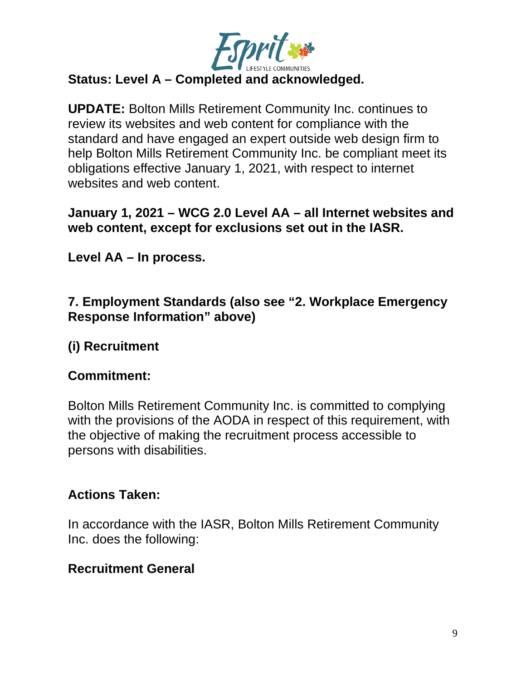

# **Status: Level A – Completed and acknowledged.**

**UPDATE:** Bolton Mills Retirement Community Inc. continues to review its websites and web content for compliance with the standard and have engaged an expert outside web design firm to help Bolton Mills Retirement Community Inc. be compliant meet its obligations effective January 1, 2021, with respect to internet websites and web content.

#### **January 1, 2021 – WCG 2.0 Level AA – all Internet websites and web content, except for exclusions set out in the IASR.**

**Level AA – In process.**

### **7. Employment Standards (also see "2. Workplace Emergency Response Information" above)**

## **(i) Recruitment**

### **Commitment:**

Bolton Mills Retirement Community Inc. is committed to complying with the provisions of the AODA in respect of this requirement, with the objective of making the recruitment process accessible to persons with disabilities.

### **Actions Taken:**

In accordance with the IASR, Bolton Mills Retirement Community Inc. does the following:

#### **Recruitment General**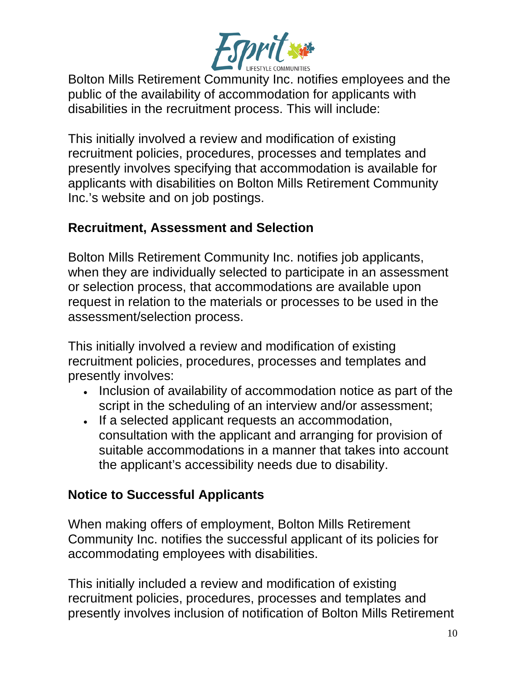

Bolton Mills Retirement Community Inc. notifies employees and the public of the availability of accommodation for applicants with disabilities in the recruitment process. This will include:

This initially involved a review and modification of existing recruitment policies, procedures, processes and templates and presently involves specifying that accommodation is available for applicants with disabilities on Bolton Mills Retirement Community Inc.'s website and on job postings.

### **Recruitment, Assessment and Selection**

Bolton Mills Retirement Community Inc. notifies job applicants, when they are individually selected to participate in an assessment or selection process, that accommodations are available upon request in relation to the materials or processes to be used in the assessment/selection process.

This initially involved a review and modification of existing recruitment policies, procedures, processes and templates and presently involves:

- Inclusion of availability of accommodation notice as part of the script in the scheduling of an interview and/or assessment;
- If a selected applicant requests an accommodation, consultation with the applicant and arranging for provision of suitable accommodations in a manner that takes into account the applicant's accessibility needs due to disability.

## **Notice to Successful Applicants**

When making offers of employment, Bolton Mills Retirement Community Inc. notifies the successful applicant of its policies for accommodating employees with disabilities.

This initially included a review and modification of existing recruitment policies, procedures, processes and templates and presently involves inclusion of notification of Bolton Mills Retirement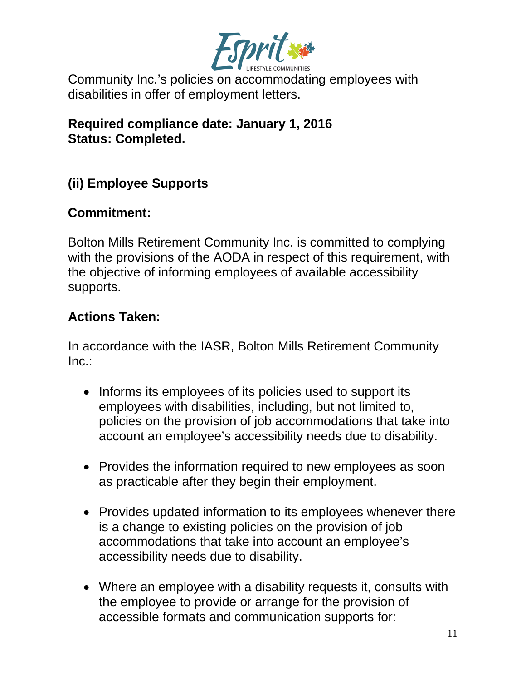

Community Inc.'s policies on accommodating employees with disabilities in offer of employment letters.

**Required compliance date: January 1, 2016 Status: Completed.**

## **(ii) Employee Supports**

### **Commitment:**

Bolton Mills Retirement Community Inc. is committed to complying with the provisions of the AODA in respect of this requirement, with the objective of informing employees of available accessibility supports.

### **Actions Taken:**

In accordance with the IASR, Bolton Mills Retirement Community Inc.:

- Informs its employees of its policies used to support its employees with disabilities, including, but not limited to, policies on the provision of job accommodations that take into account an employee's accessibility needs due to disability.
- Provides the information required to new employees as soon as practicable after they begin their employment.
- Provides updated information to its employees whenever there is a change to existing policies on the provision of job accommodations that take into account an employee's accessibility needs due to disability.
- Where an employee with a disability requests it, consults with the employee to provide or arrange for the provision of accessible formats and communication supports for: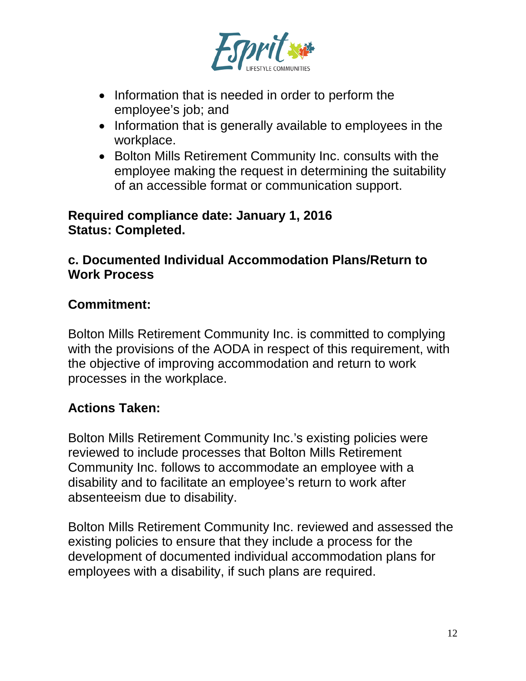

- Information that is needed in order to perform the employee's job; and
- Information that is generally available to employees in the workplace.
- Bolton Mills Retirement Community Inc. consults with the employee making the request in determining the suitability of an accessible format or communication support.

#### **Required compliance date: January 1, 2016 Status: Completed.**

### **c. Documented Individual Accommodation Plans/Return to Work Process**

### **Commitment:**

Bolton Mills Retirement Community Inc. is committed to complying with the provisions of the AODA in respect of this requirement, with the objective of improving accommodation and return to work processes in the workplace.

## **Actions Taken:**

Bolton Mills Retirement Community Inc.'s existing policies were reviewed to include processes that Bolton Mills Retirement Community Inc. follows to accommodate an employee with a disability and to facilitate an employee's return to work after absenteeism due to disability.

Bolton Mills Retirement Community Inc. reviewed and assessed the existing policies to ensure that they include a process for the development of documented individual accommodation plans for employees with a disability, if such plans are required.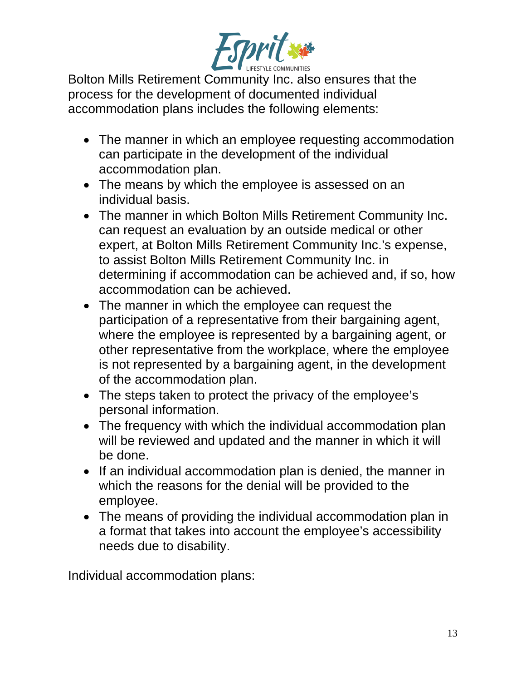

Bolton Mills Retirement Community Inc. also ensures that the process for the development of documented individual accommodation plans includes the following elements:

- The manner in which an employee requesting accommodation can participate in the development of the individual accommodation plan.
- The means by which the employee is assessed on an individual basis.
- The manner in which Bolton Mills Retirement Community Inc. can request an evaluation by an outside medical or other expert, at Bolton Mills Retirement Community Inc.'s expense, to assist Bolton Mills Retirement Community Inc. in determining if accommodation can be achieved and, if so, how accommodation can be achieved.
- The manner in which the employee can request the participation of a representative from their bargaining agent, where the employee is represented by a bargaining agent, or other representative from the workplace, where the employee is not represented by a bargaining agent, in the development of the accommodation plan.
- The steps taken to protect the privacy of the employee's personal information.
- The frequency with which the individual accommodation plan will be reviewed and updated and the manner in which it will be done.
- If an individual accommodation plan is denied, the manner in which the reasons for the denial will be provided to the employee.
- The means of providing the individual accommodation plan in a format that takes into account the employee's accessibility needs due to disability.

Individual accommodation plans: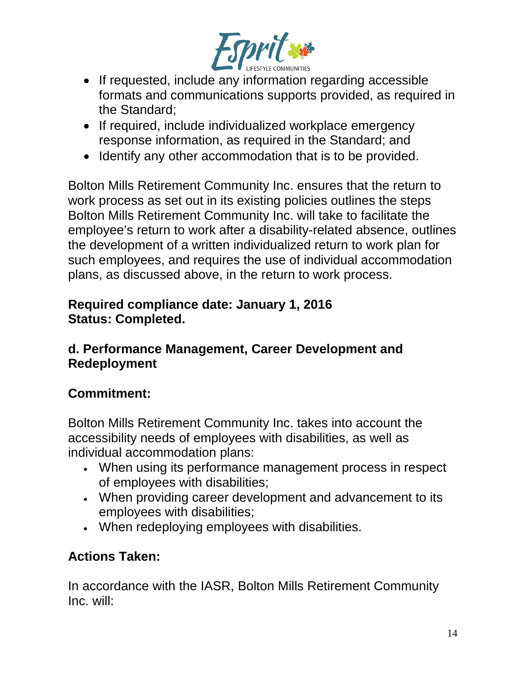

- If requested, include any information regarding accessible formats and communications supports provided, as required in the Standard;
- If required, include individualized workplace emergency response information, as required in the Standard; and
- Identify any other accommodation that is to be provided.

Bolton Mills Retirement Community Inc. ensures that the return to work process as set out in its existing policies outlines the steps Bolton Mills Retirement Community Inc. will take to facilitate the employee's return to work after a disability-related absence, outlines the development of a written individualized return to work plan for such employees, and requires the use of individual accommodation plans, as discussed above, in the return to work process.

### **Required compliance date: January 1, 2016 Status: Completed.**

### **d. Performance Management, Career Development and Redeployment**

## **Commitment:**

Bolton Mills Retirement Community Inc. takes into account the accessibility needs of employees with disabilities, as well as individual accommodation plans:

- When using its performance management process in respect of employees with disabilities;
- When providing career development and advancement to its employees with disabilities;
- When redeploying employees with disabilities.

## **Actions Taken:**

In accordance with the IASR, Bolton Mills Retirement Community Inc. will: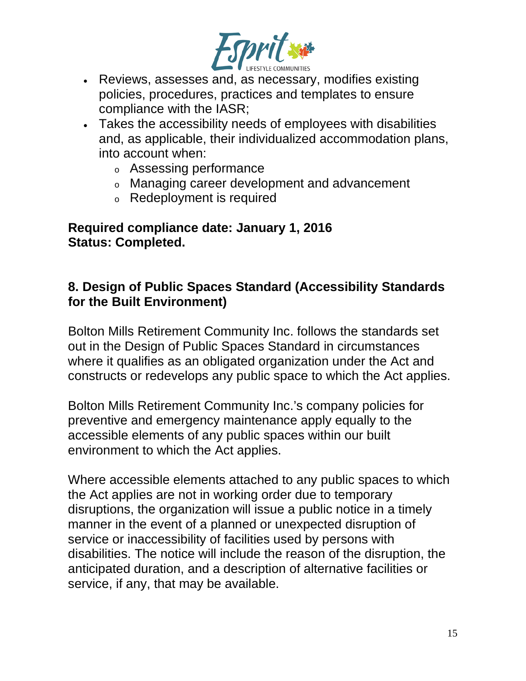

- Reviews, assesses and, as necessary, modifies existing policies, procedures, practices and templates to ensure compliance with the IASR;
- Takes the accessibility needs of employees with disabilities and, as applicable, their individualized accommodation plans, into account when:
	- <sup>o</sup> Assessing performance
	- <sup>o</sup> Managing career development and advancement
	- <sup>o</sup> Redeployment is required

**Required compliance date: January 1, 2016 Status: Completed.**

### **8. Design of Public Spaces Standard (Accessibility Standards for the Built Environment)**

Bolton Mills Retirement Community Inc. follows the standards set out in the Design of Public Spaces Standard in circumstances where it qualifies as an obligated organization under the Act and constructs or redevelops any public space to which the Act applies.

Bolton Mills Retirement Community Inc.'s company policies for preventive and emergency maintenance apply equally to the accessible elements of any public spaces within our built environment to which the Act applies.

Where accessible elements attached to any public spaces to which the Act applies are not in working order due to temporary disruptions, the organization will issue a public notice in a timely manner in the event of a planned or unexpected disruption of service or inaccessibility of facilities used by persons with disabilities. The notice will include the reason of the disruption, the anticipated duration, and a description of alternative facilities or service, if any, that may be available.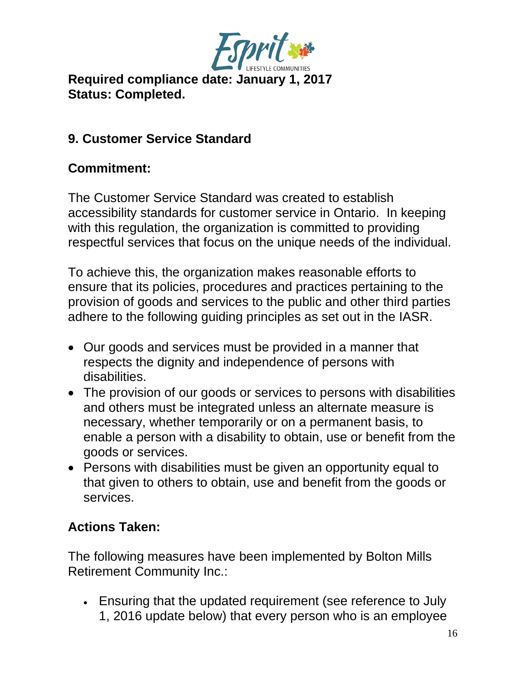

**Required compliance date: January 1, 2017 Status: Completed.**

## **9. Customer Service Standard**

### **Commitment:**

The Customer Service Standard was created to establish accessibility standards for customer service in Ontario. In keeping with this regulation, the organization is committed to providing respectful services that focus on the unique needs of the individual.

To achieve this, the organization makes reasonable efforts to ensure that its policies, procedures and practices pertaining to the provision of goods and services to the public and other third parties adhere to the following guiding principles as set out in the IASR.

- Our goods and services must be provided in a manner that respects the dignity and independence of persons with disabilities.
- The provision of our goods or services to persons with disabilities and others must be integrated unless an alternate measure is necessary, whether temporarily or on a permanent basis, to enable a person with a disability to obtain, use or benefit from the goods or services.
- Persons with disabilities must be given an opportunity equal to that given to others to obtain, use and benefit from the goods or services.

## **Actions Taken:**

The following measures have been implemented by Bolton Mills Retirement Community Inc.:

• Ensuring that the updated requirement (see reference to July 1, 2016 update below) that every person who is an employee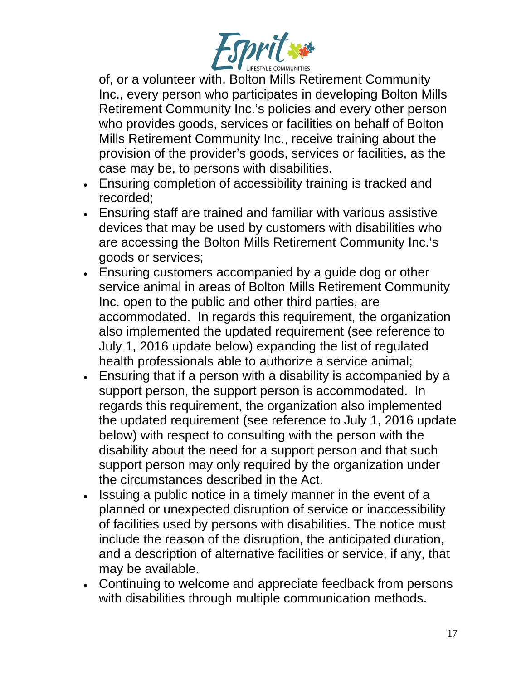

of, or a volunteer with, Bolton Mills Retirement Community Inc., every person who participates in developing Bolton Mills Retirement Community Inc.'s policies and every other person who provides goods, services or facilities on behalf of Bolton Mills Retirement Community Inc., receive training about the provision of the provider's goods, services or facilities, as the case may be, to persons with disabilities.

- Ensuring completion of accessibility training is tracked and recorded;
- Ensuring staff are trained and familiar with various assistive devices that may be used by customers with disabilities who are accessing the Bolton Mills Retirement Community Inc.'s goods or services;
- Ensuring customers accompanied by a guide dog or other service animal in areas of Bolton Mills Retirement Community Inc. open to the public and other third parties, are accommodated. In regards this requirement, the organization also implemented the updated requirement (see reference to July 1, 2016 update below) expanding the list of regulated health professionals able to authorize a service animal;
- Ensuring that if a person with a disability is accompanied by a support person, the support person is accommodated. In regards this requirement, the organization also implemented the updated requirement (see reference to July 1, 2016 update below) with respect to consulting with the person with the disability about the need for a support person and that such support person may only required by the organization under the circumstances described in the Act.
- Issuing a public notice in a timely manner in the event of a planned or unexpected disruption of service or inaccessibility of facilities used by persons with disabilities. The notice must include the reason of the disruption, the anticipated duration, and a description of alternative facilities or service, if any, that may be available.
- Continuing to welcome and appreciate feedback from persons with disabilities through multiple communication methods.